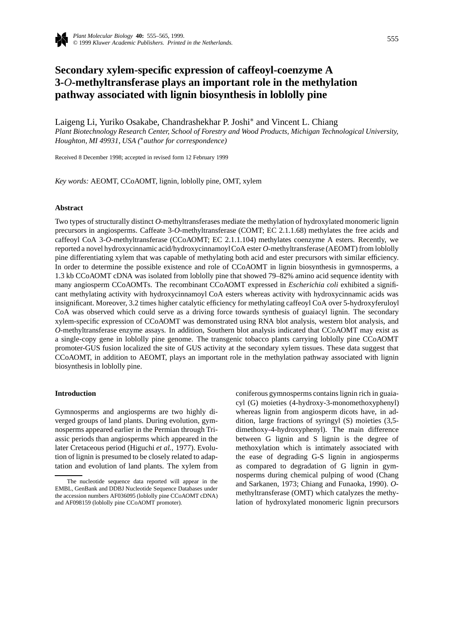

# **Secondary xylem-specific expression of caffeoyl-coenzyme A 3-***O***-methyltransferase plays an important role in the methylation pathway associated with lignin biosynthesis in loblolly pine**

Laigeng Li, Yuriko Osakabe, Chandrashekhar P. Joshi∗ and Vincent L. Chiang *Plant Biotechnology Research Center, School of Forestry and Wood Products, Michigan Technological University, Houghton, MI 49931, USA (*∗*author for correspondence)*

Received 8 December 1998; accepted in revised form 12 February 1999

*Key words:* AEOMT, CCoAOMT, lignin, loblolly pine, OMT, xylem

# **Abstract**

Two types of structurally distinct *O*-methyltransferases mediate the methylation of hydroxylated monomeric lignin precursors in angiosperms. Caffeate 3-*O*-methyltransferase (COMT; EC 2.1.1.68) methylates the free acids and caffeoyl CoA 3-*O*-methyltransferase (CCoAOMT; EC 2.1.1.104) methylates coenzyme A esters. Recently, we reported a novel hydroxycinnamic acid/hydroxycinnamoylCoA ester *O*-methyltransferase (AEOMT) from loblolly pine differentiating xylem that was capable of methylating both acid and ester precursors with similar efficiency. In order to determine the possible existence and role of CCoAOMT in lignin biosynthesis in gymnosperms, a 1.3 kb CCoAOMT cDNA was isolated from loblolly pine that showed 79–82% amino acid sequence identity with many angiosperm CCoAOMTs. The recombinant CCoAOMT expressed in *Escherichia coli* exhibited a significant methylating activity with hydroxycinnamoyl CoA esters whereas activity with hydroxycinnamic acids was insignificant. Moreover, 3.2 times higher catalytic efficiency for methylating caffeoyl CoA over 5-hydroxyferuloyl CoA was observed which could serve as a driving force towards synthesis of guaiacyl lignin. The secondary xylem-specific expression of CCoAOMT was demonstrated using RNA blot analysis, western blot analysis, and *O*-methyltransferase enzyme assays. In addition, Southern blot analysis indicated that CCoAOMT may exist as a single-copy gene in loblolly pine genome. The transgenic tobacco plants carrying loblolly pine CCoAOMT promoter-GUS fusion localized the site of GUS activity at the secondary xylem tissues. These data suggest that CCoAOMT, in addition to AEOMT, plays an important role in the methylation pathway associated with lignin biosynthesis in loblolly pine.

# **Introduction**

Gymnosperms and angiosperms are two highly diverged groups of land plants. During evolution, gymnosperms appeared earlier in the Permian through Triassic periods than angiosperms which appeared in the later Cretaceous period (Higuchi *et al.*, 1977). Evolution of lignin is presumed to be closely related to adaptation and evolution of land plants. The xylem from coniferous gymnosperms contains lignin rich in guaiacyl (G) moieties (4-hydroxy-3-monomethoxyphenyl) whereas lignin from angiosperm dicots have, in addition, large fractions of syringyl (S) moieties (3,5 dimethoxy-4-hydroxyphenyl). The main difference between G lignin and S lignin is the degree of methoxylation which is intimately associated with the ease of degrading G-S lignin in angiosperms as compared to degradation of G lignin in gymnosperms during chemical pulping of wood (Chang and Sarkanen, 1973; Chiang and Funaoka, 1990). *O*methyltransferase (OMT) which catalyzes the methylation of hydroxylated monomeric lignin precursors

The nucleotide sequence data reported will appear in the EMBL, GenBank and DDBJ Nucleotide Sequence Databases under the accession numbers AF036095 (loblolly pine CCoAOMT cDNA) and AF098159 (loblolly pine CCoAOMT promoter).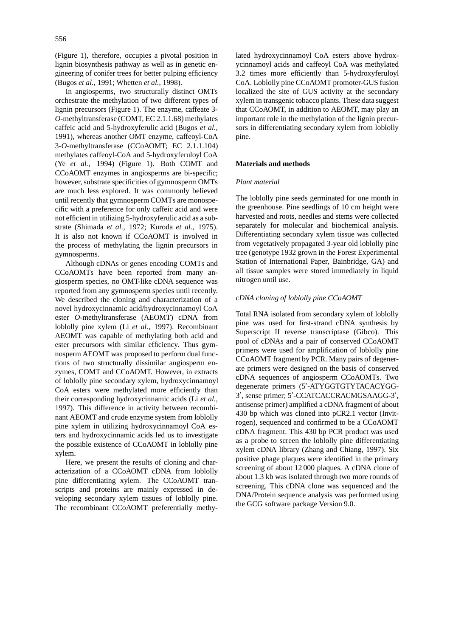(Figure 1), therefore, occupies a pivotal position in lignin biosynthesis pathway as well as in genetic engineering of conifer trees for better pulping efficiency (Bugos *et al.*, 1991; Whetten *et al.*, 1998).

In angiosperms, two structurally distinct OMTs orchestrate the methylation of two different types of lignin precursors (Figure 1). The enzyme, caffeate 3- *O*-methyltransferase (COMT, EC 2.1.1.68) methylates caffeic acid and 5-hydroxyferulic acid (Bugos *et al.*, 1991), whereas another OMT enzyme, caffeoyl-CoA 3-*O*-methyltransferase (CCoAOMT; EC 2.1.1.104) methylates caffeoyl-CoA and 5-hydroxyferuloyl CoA (Ye *et al.*, 1994) (Figure 1). Both COMT and CCoAOMT enzymes in angiosperms are bi-specific; however, substrate specificities of gymnosperm OMTs are much less explored. It was commonly believed until recently that gymnosperm COMTs are monospecific with a preference for only caffeic acid and were not efficient in utilizing 5-hydroxyferulicacid as a substrate (Shimada *et al.*, 1972; Kuroda *et al.*, 1975). It is also not known if CCoAOMT is involved in the process of methylating the lignin precursors in gymnosperms.

Although cDNAs or genes encoding COMTs and CCoAOMTs have been reported from many angiosperm species, no OMT-like cDNA sequence was reported from any gymnosperm species until recently. We described the cloning and characterization of a novel hydroxycinnamic acid/hydroxycinnamoyl CoA ester *O*-methyltransferase (AEOMT) cDNA from loblolly pine xylem (Li *et al.*, 1997). Recombinant AEOMT was capable of methylating both acid and ester precursors with similar efficiency. Thus gymnosperm AEOMT was proposed to perform dual functions of two structurally dissimilar angiosperm enzymes, COMT and CCoAOMT. However, in extracts of loblolly pine secondary xylem, hydroxycinnamoyl CoA esters were methylated more efficiently than their corresponding hydroxycinnamic acids (Li *et al.*, 1997). This difference in activity between recombinant AEOMT and crude enzyme system from loblolly pine xylem in utilizing hydroxycinnamoyl CoA esters and hydroxycinnamic acids led us to investigate the possible existence of CCoAOMT in loblolly pine xylem.

Here, we present the results of cloning and characterization of a CCoAOMT cDNA from loblolly pine differentiating xylem. The CCoAOMT transcripts and proteins are mainly expressed in developing secondary xylem tissues of loblolly pine. The recombinant CCoAOMT preferentially methylated hydroxycinnamoyl CoA esters above hydroxycinnamoyl acids and caffeoyl CoA was methylated 3.2 times more efficiently than 5-hydroxyferuloyl CoA. Loblolly pine CCoAOMT promoter-GUS fusion localized the site of GUS activity at the secondary xylem in transgenic tobacco plants. These data suggest that CCoAOMT, in addition to AEOMT, may play an important role in the methylation of the lignin precursors in differentiating secondary xylem from loblolly pine.

## **Materials and methods**

#### *Plant material*

The loblolly pine seeds germinated for one month in the greenhouse. Pine seedlings of 10 cm height were harvested and roots, needles and stems were collected separately for molecular and biochemical analysis. Differentiating secondary xylem tissue was collected from vegetatively propagated 3-year old loblolly pine tree (genotype 1932 grown in the Forest Experimental Station of International Paper, Bainbridge, GA) and all tissue samples were stored immediately in liquid nitrogen until use.

## *cDNA cloning of loblolly pine CCoAOMT*

Total RNA isolated from secondary xylem of loblolly pine was used for first-strand cDNA synthesis by Superscript II reverse transcriptase (Gibco). This pool of cDNAs and a pair of conserved CCoAOMT primers were used for amplification of loblolly pine CCoAOMT fragment by PCR. Many pairs of degenerate primers were designed on the basis of conserved cDNA sequences of angiosperm CCoAOMTs. Two degenerate primers (5'-ATYGGTGTYTACACYGG-3', sense primer; 5'-CCATCACCRACMGSAAGG-3', antisense primer) amplified a cDNA fragment of about 430 bp which was cloned into pCR2.1 vector (Invitrogen), sequenced and confirmed to be a CCoAOMT cDNA fragment. This 430 bp PCR product was used as a probe to screen the loblolly pine differentiating xylem cDNA library (Zhang and Chiang, 1997). Six positive phage plaques were identified in the primary screening of about 12 000 plaques. A cDNA clone of about 1.3 kb was isolated through two more rounds of screening. This cDNA clone was sequenced and the DNA/Protein sequence analysis was performed using the GCG software package Version 9.0.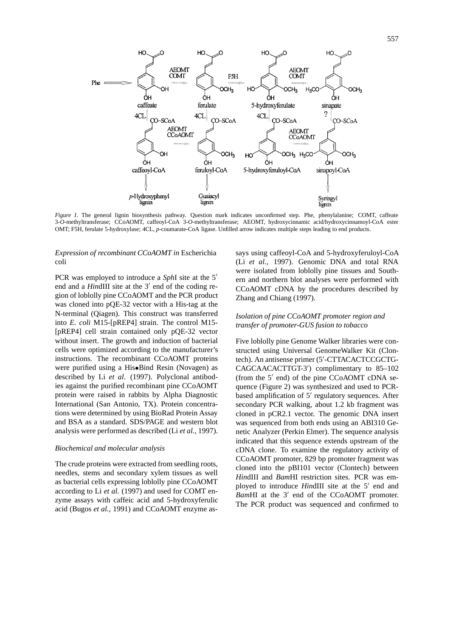

*Figure 1.* The general lignin biosynthesis pathway. Question mark indicates unconfirmed step. Phe, phenylalanine; COMT, caffeate 3-*O*-methyltransferase; CCoAOMT, caffeoyl-CoA 3-*O*-methyltransferase; AEOMT, hydroxycinnamic acid/hydroxycinnamoyl-CoA ester OMT; F5H, ferulate 5-hydroxylase; 4CL, *p*-coumarate-CoA ligase. Unfilled arrow indicates multiple steps leading to end products.

# *Expression of recombinant CCoAOMT in* Escherichia coli

PCR was employed to introduce a *SphI* site at the 5<sup>'</sup> end and a *HindIII* site at the 3<sup>'</sup> end of the coding region of loblolly pine CCoAOMT and the PCR product was cloned into pQE-32 vector with a His-tag at the N-terminal (Qiagen). This construct was transferred into *E. coli* M15-[pREP4] strain. The control M15- [pREP4] cell strain contained only pQE-32 vector without insert. The growth and induction of bacterial cells were optimized according to the manufacturer's instructions. The recombinant CCoAOMT proteins were purified using a His•Bind Resin (Novagen) as described by Li *et al*. (1997). Polyclonal antibodies against the purified recombinant pine CCoAOMT protein were raised in rabbits by Alpha Diagnostic International (San Antonio, TX). Protein concentrations were determined by using BioRad Protein Assay and BSA as a standard. SDS/PAGE and western blot analysis were performed as described (Li *et al.*, 1997).

#### *Biochemical and molecular analysis*

The crude proteins were extracted from seedling roots, needles, stems and secondary xylem tissues as well as bacterial cells expressing loblolly pine CCoAOMT according to Li *et al.* (1997) and used for COMT enzyme assays with caffeic acid and 5-hydroxyferulic acid (Bugos *et al.*, 1991) and CCoAOMT enzyme assays using caffeoyl-CoA and 5-hydroxyferuloyl-CoA (Li *et al.*, 1997). Genomic DNA and total RNA were isolated from loblolly pine tissues and Southern and northern blot analyses were performed with CCoAOMT cDNA by the procedures described by Zhang and Chiang (1997).

# *Isolation of pine CCoAOMT promoter region and transfer of promoter-GUS fusion to tobacco*

Five loblolly pine Genome Walker libraries were constructed using Universal GenomeWalker Kit (Clontech). An antisense primer (5'-CTTACACTCCGCTG-CAGCAACACTTGT-3<sup>'</sup>) complimentary to 85-102 (from the  $5'$  end) of the pine CCoAOMT cDNA sequence (Figure 2) was synthesized and used to PCRbased amplification of  $5'$  regulatory sequences. After secondary PCR walking, about 1.2 kb fragment was cloned in pCR2.1 vector. The genomic DNA insert was sequenced from both ends using an ABI310 Genetic Analyzer (Perkin Elmer). The sequence analysis indicated that this sequence extends upstream of the cDNA clone. To examine the regulatory activity of CCoAOMT promoter, 829 bp promoter fragment was cloned into the pBI101 vector (Clontech) between *Hin*dIII and *Bam*HI restriction sites. PCR was employed to introduce *HindIII* site at the 5<sup>'</sup> end and *Bam*HI at the 3<sup>'</sup> end of the CCoAOMT promoter. The PCR product was sequenced and confirmed to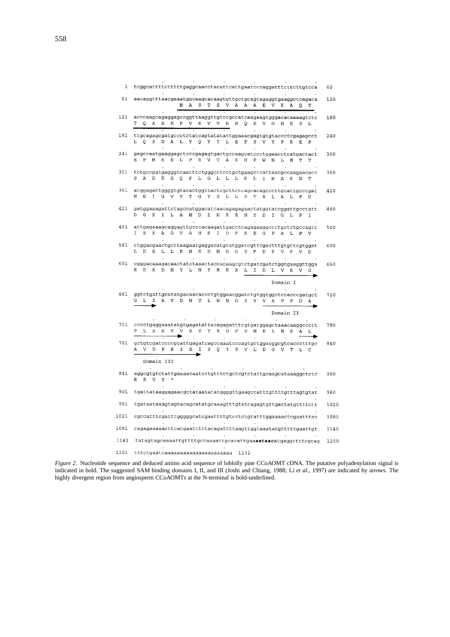| 1    | tcggcattttctttttgaggcaacctacattcattgaatcccaggatttcttcttgtcca                                                                                                                                 | 60   |
|------|----------------------------------------------------------------------------------------------------------------------------------------------------------------------------------------------|------|
| 61   | aacaggtttaacgaaatggcaagcacaagtgttgctgcagcagaggtgaaggctcagaca<br>М<br>А<br>s<br>т<br>s<br>V<br>Α<br>E<br>V<br>A<br>A<br>к<br>Ά<br>O<br>ጥ                                                      | 120  |
| 121  | acccaagcagaggagccggttaaggttgtccgccatcaagaagtgggacacaaaagtctc<br>ጥ<br>Α<br>E<br>E<br>P<br>V<br>К<br>V<br>$\, {\bf R}$<br>н<br>E<br>Q<br>V<br>Q<br>V<br>G<br>н<br>к<br>s                       | 180  |
| 181  | ttgcagagcgatgccctctatcagtatatattggaaacgagtgtgtaccctcgagagcct<br>O<br>S<br>D<br>А<br>L<br>Υ<br>$\mathsf{Q}$<br>Υ<br>I<br>L<br>Е<br>т<br>S<br>V Y<br>P<br>$\mathbb R$<br>E<br>L<br>P           | 240  |
| 241  | gagccaatgaaggagctcccgagagtgactgccaagcatccctggaacctcatgactact<br>P<br>М<br>К<br>Е<br>L<br>P R V T<br>K<br>А<br>Н<br>Ρ<br>W N<br>L<br>М<br>т                                                   | 300  |
| 301  | tctgccgatgagggtcaatttctgggcctcctgctgaagctcattaacgccaagaacacc<br>А<br>D<br>Е<br>G<br>Q<br>$F$ $L$ $G$<br>$L$ $L$ $L$<br>$\mathbf{K}$<br>I.<br>L<br>N<br>A<br>K<br>N<br>T                      | 360  |
| 361  | atggagattggggtgtacactggttactcgcttctcagcacagcccttgcattgcccgat<br>E<br>I<br>G<br>Υ<br>G<br>Y<br>s<br>$\mathbf S$<br>V.<br>T<br>L.<br>L<br>т<br>Α<br>г<br>Α<br>г<br>P                           | 420  |
| 421  | gatggaaagattetageeatggacateaacagagagaactatgatateggattgeetatt<br>К<br>I<br>г<br>м<br>I<br>G<br>Α<br>D<br>Ν<br>R<br>Е<br>Ν<br>Υ<br>D<br>I<br>G<br>L<br>P                                       | 480  |
| 481  | attgagaaagcaggagttgcccacaagattgacttcagagagggccctgctctgccagtt<br>T.<br>Е<br>K<br>G<br>V<br>н<br>K<br>$\mathbf F$<br>$\mathbb R$<br>Α<br>Α<br>I<br>D<br>E<br>G.<br>P<br>Α<br>г<br>P<br>v       | 540  |
| 541  | ctggacgaactgcttaagaatgaggacatgcatggatcgttcgactttgtgttcgtggat<br>Т,<br>D<br>Е<br>г<br>г<br>к<br>N E<br>D<br>М<br>$_{\rm H}$<br>$\mathbf{G}$<br>S<br>F<br>D<br>F<br>V<br>$\mathbf F$<br>V<br>D | 600  |
| 601  | R<br>D<br>K<br>D<br>N<br>Υ<br>г<br>N<br>Υ<br>Н<br>К<br>R<br>I<br>Ŀ<br>D<br>г<br>v<br>к<br>v                                                                                                  | 660  |
|      | Domain I                                                                                                                                                                                     |      |
| 661  | ggtctgattgcatatgacaacaccctgtggaacggatctgtggtggctccacccgatgct<br>L<br>I<br>A<br>Y<br>D<br>N<br>Т<br>г<br>W<br>N<br>G<br>S<br>V<br>V<br>P<br>Α<br>P<br>D                                       | 720  |
| 721  | Domain II<br>cccctgaggaaatatgtgagatattacagagatttcgtgatggagctaaacaaggccctt<br>Y<br>Y Y<br>R D<br>L<br>R<br>к<br>v<br>$\mathbb{R}$<br>F<br>V<br>M<br>E<br>- L<br>N<br>К<br>Α                   | 780  |
| 781  | getgtegateeeegeattgagateageeaaateeeagtgetggaeggegteaeeetttge<br>v<br>D<br>P<br>$_{\rm R}$<br>I<br>E<br>I<br>S<br>$\mathsf{Q}$<br>I<br>P<br>V<br>г<br>D<br>G<br>v<br>т<br>c                   | 840  |
|      | Domain III                                                                                                                                                                                   |      |
| 841  | aggcgtgtctattgaaaacaatcctgtttctgctcgtctattgcaagcataaaggctctc<br>R<br>R V Y                                                                                                                   | 900  |
| 901  | tgattataaggagaacgctataatatatggggttgaagccatttgttttgtttagtgtat                                                                                                                                 | 960  |
| 961  | tgataataaagtagtacagcatatgcaaagtttgtatcagagtgttgattatgttttctt                                                                                                                                 | 1020 |
| 1021 | cgccatttcgatttgggggcatcgaattttgtcctctgtatttggaaaactcgaatttac                                                                                                                                 | 1080 |
| 1081 | cagagaaaaacttcacgaatttctacagattttaagttggtaaatatgtttttgaattgt                                                                                                                                 | 1140 |
| 1141 | tatagtagcaaaattgttttgctaaaattgcacattgaaaataacatgaggttttcgcag                                                                                                                                 | 1200 |
| 1201 | tttctgaatcaaaaaaaaaaaaaaaaaaaaaa<br>1232                                                                                                                                                     |      |

*Figure 2.* Nucleotide sequence and deduced amino acid sequence of loblolly pine CCoAOMT cDNA. The putative polyadenylation signal is indicated in bold. The suggested SAM binding domains I, II, and III (Joshi and Chiang, 1988; Li *et al.*, 1997) are indicated by arrows. The highly divergent region from angiosperm CCoAOMTs at the N-terminal is bold-underlined.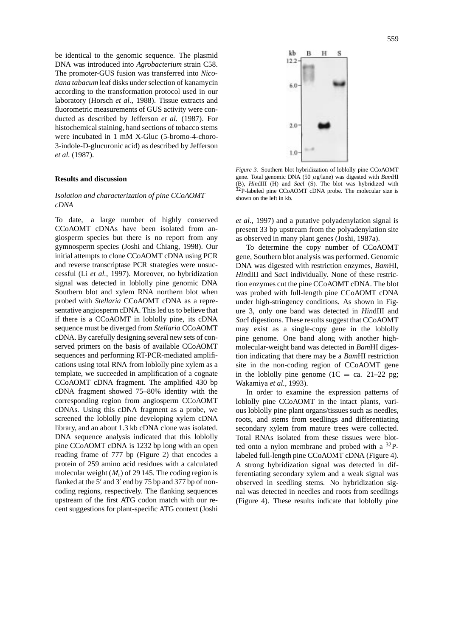be identical to the genomic sequence. The plasmid DNA was introduced into *Agrobacterium* strain C58. The promoter-GUS fusion was transferred into *Nicotiana tabacum* leaf disks under selection of kanamycin according to the transformation protocol used in our laboratory (Horsch *et al.*, 1988). Tissue extracts and fluorometric measurements of GUS activity were conducted as described by Jefferson *et al.* (1987). For histochemical staining, hand sections of tobacco stems were incubated in 1 mM X-Gluc (5-bromo-4-choro-3-indole-D-glucuronic acid) as described by Jefferson *et al.* (1987).

#### **Results and discussion**

# *Isolation and characterization of pine CCoAOMT cDNA*

To date, a large number of highly conserved CCoAOMT cDNAs have been isolated from angiosperm species but there is no report from any gymnosperm species (Joshi and Chiang, 1998). Our initial attempts to clone CCoAOMT cDNA using PCR and reverse transcriptase PCR strategies were unsuccessful (Li *et al.*, 1997). Moreover, no hybridization signal was detected in loblolly pine genomic DNA Southern blot and xylem RNA northern blot when probed with *Stellaria* CCoAOMT cDNA as a representative angiosperm cDNA. This led us to believe that if there is a CCoAOMT in loblolly pine, its cDNA sequence must be diverged from *Stellaria* CCoAOMT cDNA. By carefully designing several new sets of conserved primers on the basis of available CCoAOMT sequences and performing RT-PCR-mediated amplifications using total RNA from loblolly pine xylem as a template, we succeeded in amplification of a cognate CCoAOMT cDNA fragment. The amplified 430 bp cDNA fragment showed 75–80% identity with the corresponding region from angiosperm CCoAOMT cDNAs. Using this cDNA fragment as a probe, we screened the loblolly pine developing xylem cDNA library, and an about 1.3 kb cDNA clone was isolated. DNA sequence analysis indicated that this loblolly pine CCoAOMT cDNA is 1232 bp long with an open reading frame of 777 bp (Figure 2) that encodes a protein of 259 amino acid residues with a calculated molecular weight  $(M_r)$  of 29 145. The coding region is flanked at the  $5'$  and  $3'$  end by 75 bp and 377 bp of noncoding regions, respectively. The flanking sequences upstream of the first ATG codon match with our recent suggestions for plant-specific ATG context (Joshi



*Figure 3.* Southern blot hybridization of loblolly pine CCoAOMT gene. Total genomic DNA (50 *µ*g/lane) was digested with *Bam*HI (B), *Hin*dIII (H) and *Sac*I (S). The blot was hybridized with <sup>32</sup>P-labeled pine CCoAOMT cDNA probe. The molecular size is shown on the left in kb.

*et al.*, 1997) and a putative polyadenylation signal is present 33 bp upstream from the polyadenylation site as observed in many plant genes (Joshi, 1987a).

To determine the copy number of CCoAOMT gene, Southern blot analysis was performed. Genomic DNA was digested with restriction enzymes, *Bam*HI, *Hin*dIII and *Sac*I individually. None of these restriction enzymes cut the pine CCoAOMT cDNA. The blot was probed with full-length pine CCoAOMT cDNA under high-stringency conditions. As shown in Figure 3, only one band was detected in *Hin*dIII and *Sac*I digestions. These results suggest that CCoAOMT may exist as a single-copy gene in the loblolly pine genome. One band along with another highmolecular-weight band was detected in *Bam*HI digestion indicating that there may be a *Bam*HI restriction site in the non-coding region of CCoAOMT gene in the loblolly pine genome (1C = ca. 21–22 pg; Wakamiya *et al.*, 1993).

In order to examine the expression patterns of loblolly pine CCoAOMT in the intact plants, various loblolly pine plant organs/tissues such as needles, roots, and stems from seedlings and differentiating secondary xylem from mature trees were collected. Total RNAs isolated from these tissues were blotted onto a nylon membrane and probed with a  $^{32}P$ labeled full-length pine CCoAOMT cDNA (Figure 4). A strong hybridization signal was detected in differentiating secondary xylem and a weak signal was observed in seedling stems. No hybridization signal was detected in needles and roots from seedlings (Figure 4). These results indicate that loblolly pine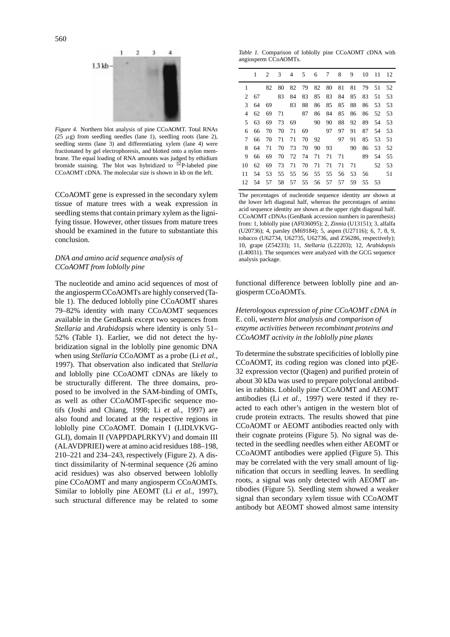

*Figure 4.* Northern blot analysis of pine CCoAOMT. Total RNAs ( $25 \mu g$ ) from seedling needles (lane 1), seedling roots (lane 2), seedling stems (lane 3) and differentiating xylem (lane 4) were fractionated by gel electrophoresis, and blotted onto a nylon membrane. The equal loading of RNA amounts was judged by ethidium<br>bromide staining. The blot was hybridized to <sup>32</sup>P-labeled pine CCoAOMT cDNA. The molecular size is shown in kb on the left.

CCoAOMT gene is expressed in the secondary xylem tissue of mature trees with a weak expression in seedling stems that contain primary xylem as the lignifying tissue. However, other tissues from mature trees should be examined in the future to substantiate this conclusion.

## *DNA and amino acid sequence analysis of CCoAOMT from loblolly pine*

The nucleotide and amino acid sequences of most of the angiosperm CCoAOMTs are highly conserved (Table 1). The deduced loblolly pine CCoAOMT shares 79–82% identity with many CCoAOMT sequences available in the GenBank except two sequences from *Stellaria* and *Arabidopsis* where identity is only 51– 52% (Table 1). Earlier, we did not detect the hybridization signal in the loblolly pine genomic DNA when using *Stellaria* CCoAOMT as a probe (Li *et al.*, 1997). That observation also indicated that *Stellaria* and loblolly pine CCoAOMT cDNAs are likely to be structurally different. The three domains, proposed to be involved in the SAM-binding of OMTs, as well as other CCoAOMT-specific sequence motifs (Joshi and Chiang, 1998; Li *et al.*, 1997) are also found and located at the respective regions in loblolly pine CCoAOMT. Domain I (LIDLVKVG-GLI), domain II (VAPPDAPLRKYV) and domain III (ALAVDPRIEI) were at amino acid residues 188–198, 210–221 and 234–243, respectively (Figure 2). A distinct dissimilarity of N-terminal sequence (26 amino acid residues) was also observed between loblolly pine CCoAOMT and many angiosperm CCoAOMTs. Similar to loblolly pine AEOMT (Li *et al.*, 1997), such structural difference may be related to some

*Table 1.* Comparison of loblolly pine CCoAOMT cDNA with angiosperm CCoAOMTs.

|    |       |     |       |    | 1 2 3 4 5 6 7 8 9 10 11 12       |    |       |    |                   |       |       |     |
|----|-------|-----|-------|----|----------------------------------|----|-------|----|-------------------|-------|-------|-----|
|    |       |     |       |    | 82 80 82 79 82 80 81 81 79 51 52 |    |       |    |                   |       |       |     |
|    | 2 67  |     | 83    |    | 84 83                            |    |       |    | 85 83 84 85 83 51 |       |       | 53  |
| 3  | 64    | 69  |       | 83 | 88                               | 86 | 85    |    | 85 88             |       | 86 53 | 53  |
| 4  | 62    |     | 69 71 |    | 87                               |    | 86 84 | 85 | 86                |       | 86 52 | 53  |
| 5. | 63    | 69  |       |    | 73 69                            |    | 90 90 |    | 88 92             | 89 54 |       | 53  |
| 6. | 66    |     |       |    | 70 70 71 69                      |    | 97    | 97 | 91                |       | 87 54 | .53 |
| 7  | 66    |     |       |    | 70 71 71 70 92                   |    |       | 97 | 91                |       | 85 53 | .51 |
| 8  | 64    |     |       |    | 71 70 73 70 90 93                |    |       |    | 90                |       | 86 53 | .52 |
| 9  | 66    | -69 |       |    | 70 72 74 71 71 71                |    |       |    |                   |       | 89 54 | -55 |
| 10 | 62    | 69  |       |    | 73 71 70 71 71 71 71             |    |       |    |                   |       | 52    | 53  |
| 11 | 54    |     |       |    | 53 55 55 56 55 55 56 53 56       |    |       |    |                   |       |       | 51  |
|    | 12 54 |     |       |    | 57 58 57 55 56 57 57 59 55 53    |    |       |    |                   |       |       |     |

The percentages of nucleotide sequence identity are shown at the lower left diagonal half, whereas the percentages of amino acid sequence identity are shown at the upper right diagonal half. CCoAOMT cDNAs (GenBank accession numbers in parenthesis) from: 1, loblolly pine (AF036095); 2, *Zinnia* (U13151); 3, alfalfa (U20736); 4, parsley (M69184); 5, aspen (U27116); 6, 7, 8, 9, tobacco (U62734, U62735, U62736, and Z56286, respectively); 10, grape (Z54233); 11, *Stellaria* (L22203); 12, *Arabidopsis* (L40031). The sequences were analyzed with the GCG sequence analysis package.

functional difference between loblolly pine and angiosperm CCoAOMTs.

# *Heterologous expression of pine CCoAOMT cDNA in* E. coli*, western blot analysis and comparison of enzyme activities between recombinant proteins and CCoAOMT activity in the loblolly pine plants*

To determine the substrate specificities of loblolly pine CCoAOMT, its coding region was cloned into pQE-32 expression vector (Qiagen) and purified protein of about 30 kDa was used to prepare polyclonal antibodies in rabbits. Loblolly pine CCoAOMT and AEOMT antibodies (Li *et al.*, 1997) were tested if they reacted to each other's antigen in the western blot of crude protein extracts. The results showed that pine CCoAOMT or AEOMT antibodies reacted only with their cognate proteins (Figure 5). No signal was detected in the seedling needles when either AEOMT or CCoAOMT antibodies were applied (Figure 5). This may be correlated with the very small amount of lignification that occurs in seedling leaves. In seedling roots, a signal was only detected with AEOMT antibodies (Figure 5). Seedling stem showed a weaker signal than secondary xylem tissue with CCoAOMT antibody but AEOMT showed almost same intensity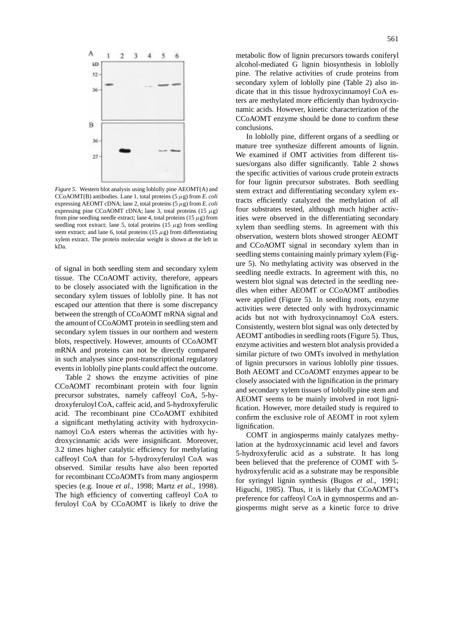

*Figure 5.* Western blot analysis using loblolly pine AEOMT(A) and CCoAOMT(B) antibodies. Lane 1, total proteins  $(5 \mu g)$  from *E. coli* expressing AEOMT cDNA; lane 2, total proteins  $(5 \mu g)$  from *E. coli* expressing pine CCoAOMT cDNA; lane 3, total proteins (15 *µ*g) from pine seedling needle extract; lane 4, total proteins (15 *µ*g) from seedling root extract; lane 5, total proteins  $(15 \mu g)$  from seedling stem extract; and lane 6, total proteins  $(15 \mu g)$  from differentiating xylem extract. The protein molecular weight is shown at the left in kDa.

of signal in both seedling stem and secondary xylem tissue. The CCoAOMT activity, therefore, appears to be closely associated with the lignification in the secondary xylem tissues of loblolly pine. It has not escaped our attention that there is some discrepancy between the strength of CCoAOMT mRNA signal and the amount of CCoAOMT protein in seedling stem and secondary xylem tissues in our northern and western blots, respectively. However, amounts of CCoAOMT mRNA and proteins can not be directly compared in such analyses since post-transcriptional regulatory events in loblolly pine plants could affect the outcome.

Table 2 shows the enzyme activities of pine CCoAOMT recombinant protein with four lignin precursor substrates, namely caffeoyl CoA, 5-hydroxyferuloyl CoA, caffeic acid, and 5-hydroxyferulic acid. The recombinant pine CCoAOMT exhibited a significant methylating activity with hydroxycinnamoyl CoA esters whereas the activities with hydroxycinnamic acids were insignificant. Moreover, 3.2 times higher catalytic efficiency for methylating caffeoyl CoA than for 5-hydroxyferuloyl CoA was observed. Similar results have also been reported for recombinant CCoAOMTs from many angiosperm species (e.g. Inoue *et al.*, 1998; Martz *et al.*, 1998). The high efficiency of converting caffeoyl CoA to feruloyl CoA by CCoAOMT is likely to drive the

metabolic flow of lignin precursors towards coniferyl alcohol-mediated G lignin biosynthesis in loblolly pine. The relative activities of crude proteins from secondary xylem of loblolly pine (Table 2) also indicate that in this tissue hydroxycinnamoyl CoA esters are methylated more efficiently than hydroxycinnamic acids. However, kinetic characterization of the CCoAOMT enzyme should be done to confirm these conclusions.

In loblolly pine, different organs of a seedling or mature tree synthesize different amounts of lignin. We examined if OMT activities from different tissues/organs also differ significantly. Table 2 shows the specific activities of various crude protein extracts for four lignin precursor substrates. Both seedling stem extract and differentiating secondary xylem extracts efficiently catalyzed the methylation of all four substrates tested, although much higher activities were observed in the differentiating secondary xylem than seedling stems. In agreement with this observation, western blots showed stronger AEOMT and CCoAOMT signal in secondary xylem than in seedling stems containing mainly primary xylem (Figure 5). No methylating activity was observed in the seedling needle extracts. In agreement with this, no western blot signal was detected in the seedling needles when either AEOMT or CCoAOMT antibodies were applied (Figure 5). In seedling roots, enzyme activities were detected only with hydroxycinnamic acids but not with hydroxycinnamoyl CoA esters. Consistently, western blot signal was only detected by AEOMT antibodies in seedling roots (Figure 5). Thus, enzyme activities and western blot analysis provided a similar picture of two OMTs involved in methylation of lignin precursors in various loblolly pine tissues. Both AEOMT and CCoAOMT enzymes appear to be closely associated with the lignification in the primary and secondary xylem tissues of loblolly pine stem and AEOMT seems to be mainly involved in root lignification. However, more detailed study is required to confirm the exclusive role of AEOMT in root xylem lignification.

COMT in angiosperms mainly catalyzes methylation at the hydroxycinnamic acid level and favors 5-hydroxyferulic acid as a substrate. It has long been believed that the preference of COMT with 5 hydroxyferulic acid as a substrate may be responsible for syringyl lignin synthesis (Bugos *et al.*, 1991; Higuchi, 1985). Thus, it is likely that CCoAOMT's preference for caffeoyl CoA in gymnosperms and angiosperms might serve as a kinetic force to drive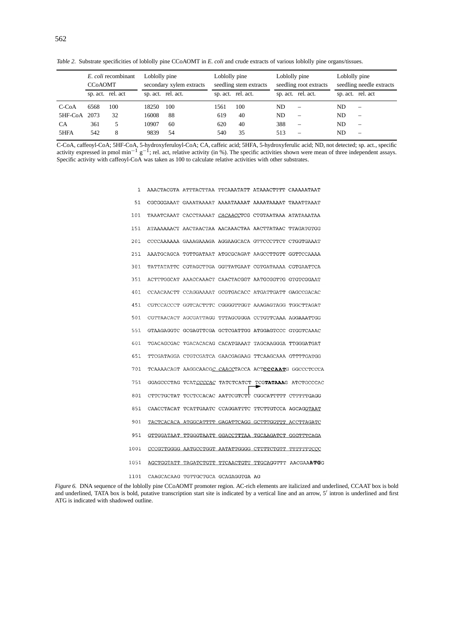*Table 2.* Substrate specificities of loblolly pine CCoAOMT in *E. coli* and crude extracts of various loblolly pine organs/tissues.

|             | E. coli recombinant<br><b>CCOAOMT</b> |                   | Loblolly pine<br>secondary xylem extracts |                    | Loblolly pine<br>seedling stem extracts |                    | Loblolly pine<br>seedling root extracts |                          | Loblolly pine<br>seedling needle extracts |                          |
|-------------|---------------------------------------|-------------------|-------------------------------------------|--------------------|-----------------------------------------|--------------------|-----------------------------------------|--------------------------|-------------------------------------------|--------------------------|
|             |                                       | sp. act. rel. act |                                           | sp. act. rel. act. |                                         | sp. act. rel. act. |                                         | sp. act. rel. act.       |                                           | sp. act. rel. act        |
| $C$ -Co $A$ | 6568                                  | 100               | 18250                                     | 100                | 1561                                    | 100                | ND.                                     | $\overline{\phantom{0}}$ | ND.                                       |                          |
| 5HF-CoA     | 2073                                  | 32                | 16008                                     | 88                 | 619                                     | 40                 | ND.                                     |                          | ND.                                       | $\overline{\phantom{a}}$ |
| <b>CA</b>   | 361                                   |                   | 10907                                     | 60                 | 620                                     | 40                 | 388                                     | $\overline{\phantom{0}}$ | ND.                                       | $\overline{\phantom{a}}$ |
| 5HFA        | 542                                   | 8                 | 9839                                      | 54                 | 540                                     | 35                 | 513                                     |                          | ND.                                       | $\overline{\phantom{0}}$ |

C-CoA, caffeoyl-CoA; 5HF-CoA, 5-hydroxyferuloyl-CoA; CA, caffeic acid; 5HFA, 5-hydroxyferulic acid; ND, not detected; sp. act., specific activity expressed in pmol min<sup>-1</sup> g<sup>-1</sup>; rel. act, relative activity (in %). The sp Specific activity with caffeoyl-CoA was taken as 100 to calculate relative activities with other substrates.

| 1    | AAACTACGTA ATTTACTTAA TTCAAATATT ATAAACTTTT CAAAAATAAT |  |                                                        |
|------|--------------------------------------------------------|--|--------------------------------------------------------|
| 51   | CGCGGGAAAT GAAATAAAAT AAAATAAAAT AAAATAAAAT TAAATTAAAT |  |                                                        |
| 101  | TAAATCAAAT CACCTAAAAT CACAACCTCG CTGTAATAAA ATATAAATAA |  |                                                        |
| 151  | ATAAAAAACT AACTAACTAA AACAAACTAA AACTTATAAC TTAGATGTGG |  |                                                        |
| 201  | CCCCAAAAAA GAAAGAAAGA AGGAAGCACA GTTCCCTTCT CTGGTGAAAT |  |                                                        |
| 251  | AAATGCAGCA TGTTGATAAT ATGCGCAGAT AAGCCTTGTT GGTTCCAAAA |  |                                                        |
| 301  | TATTATATTC CGTAGCTTGA GGTTATGAAT CGTGATAAAA CGTGAATTCA |  |                                                        |
| 351  | ACTTTGGCAT AAACCAAACT CAACTACGGT AATGCGGTTG GTGTCGGAAT |  |                                                        |
| 401  | CCAACAACTT CCAGGAAAAT GCGTGACACC ATGATTGATT GAGCCGACAC |  |                                                        |
| 451  | CGTCCACCCT GGTCACTTTC CGGGGTTGGT AAAGAGTAGG TGGCTTAGAT |  |                                                        |
| 501  | CGTTAACACT AGCGATTAGG TTTAGCGGGA CCTGTTCAAA AGGAAATTGG |  |                                                        |
| 551  | GTAAGAGGTC GCGAGTTCGA GCTCGATTGG ATGGAGTCCC GTGGTCAAAC |  |                                                        |
| 601  | TGACAGCGAC TGACACACAG CACATGAAAT TAGCAAGGGA TTGGGATGAT |  |                                                        |
| 651  | TTCGATAGGA CTGTCGATCA GAACGAGAAG TTCAAGCAAA GTTTTGATGG |  |                                                        |
| 701  |                                                        |  | TCAAAACAGT AAGGCAACGC CAACCTACCA ACTCCCAATG GGCCCTCCCA |
| 751  |                                                        |  | GGAGCCCTAG TCATCCCCAC TATCTCATCT TCGTATAAAG ATCTGCCCAC |
| 801  | CTTCTGCTAT TCCTCCACAC AATTCGTCTT CGGCATTTTT CTTTTTGAGG |  |                                                        |
| 851  | CAACCTACAT TCATTGAATC CCAGGATTTC TTCTTGTCCA AGCAGGTAAT |  |                                                        |
| 901  | TACTCACACA ATGGCATTTT GAGATTCAGG GCTTTGGTTT ACCTTAGATC |  |                                                        |
| 951  | GTTGGATAAT TTGGGTAATT GGACCTTTAA TGCAAGATCT GGGTTTCAGA |  |                                                        |
| 1001 | CCCGTTGGGG AATGCCTGGT AATATTGGGG CTTTTCTGTT TTTTTTTCCC |  |                                                        |
| 1051 |                                                        |  | AGCTGGTATT TAGATCTGTT TTCAACTGTT TTGCAGGTTT AACGAAATGG |
| 1101 | CAAGCACAAG TGTTGCTGCA GCAGAGGTGA AG                    |  |                                                        |

*Figure 6.* DNA sequence of the loblolly pine CCoAOMT promoter region. AC-rich elements are italicized and underlined, CCAAT box is bold and underlined, TATA box is bold, putative transcription start site is indicated by a vertical line and an arrow, 5' intron is underlined and first ATG is indicated with shadowed outline.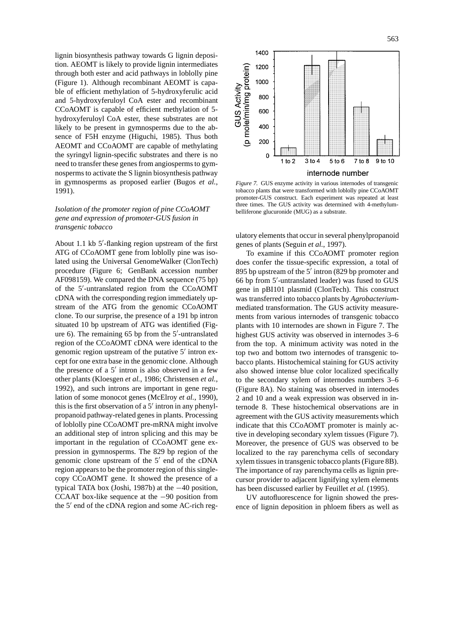lignin biosynthesis pathway towards G lignin deposition. AEOMT is likely to provide lignin intermediates through both ester and acid pathways in loblolly pine (Figure 1). Although recombinant AEOMT is capable of efficient methylation of 5-hydroxyferulic acid and 5-hydroxyferuloyl CoA ester and recombinant CCoAOMT is capable of efficient methylation of 5 hydroxyferuloyl CoA ester, these substrates are not likely to be present in gymnosperms due to the absence of F5H enzyme (Higuchi, 1985). Thus both AEOMT and CCoAOMT are capable of methylating the syringyl lignin-specific substrates and there is no need to transfer these genes from angiosperms to gymnosperms to activate the S lignin biosynthesis pathway in gymnosperms as proposed earlier (Bugos *et al.*, 1991).

# *Isolation of the promoter region of pine CCoAOMT gene and expression of promoter-GUS fusion in transgenic tobacco*

About 1.1 kb 5'-flanking region upstream of the first ATG of CCoAOMT gene from loblolly pine was isolated using the Universal GenomeWalker (ClonTech) procedure (Figure 6; GenBank accession number AF098159). We compared the DNA sequence (75 bp) of the 5'-untranslated region from the CCoAOMT cDNA with the corresponding region immediately upstream of the ATG from the genomic CCoAOMT clone. To our surprise, the presence of a 191 bp intron situated 10 bp upstream of ATG was identified (Figure 6). The remaining  $65$  bp from the  $5'$ -untranslated region of the CCoAOMT cDNA were identical to the genomic region upstream of the putative  $5'$  intron except for one extra base in the genomic clone. Although the presence of a  $5'$  intron is also observed in a few other plants (Kloesgen *et al.*, 1986; Christensen *et al.*, 1992), and such introns are important in gene regulation of some monocot genes (McElroy *et al.*, 1990), this is the first observation of a  $5'$  intron in any phenylpropanoid pathway-related genes in plants. Processing of loblolly pine CCoAOMT pre-mRNA might involve an additional step of intron splicing and this may be important in the regulation of CCoAOMT gene expression in gymnosperms. The 829 bp region of the genomic clone upstream of the  $5'$  end of the cDNA region appears to be the promoter region of this singlecopy CCoAOMT gene. It showed the presence of a typical TATA box (Joshi, 1987b) at the −40 position, CCAAT box-like sequence at the −90 position from the 5' end of the cDNA region and some AC-rich reg-



*Figure 7.* GUS enzyme activity in various internodes of transgenic tobacco plants that were transformed with loblolly pine CCoAOMT promoter-GUS construct. Each experiment was repeated at least three times. The GUS activity was determined with 4-methylumbelliferone glucuronide (MUG) as a substrate.

ulatory elements that occur in several phenylpropanoid genes of plants (Seguin *et al.*, 1997).

To examine if this CCoAOMT promoter region does confer the tissue-specific expression, a total of 895 bp upstream of the  $5'$  intron (829 bp promoter and 66 bp from 5'-untranslated leader) was fused to GUS gene in pBI101 plasmid (ClonTech). This construct was transferred into tobacco plants by *Agrobacterium*mediated transformation. The GUS activity measurements from various internodes of transgenic tobacco plants with 10 internodes are shown in Figure 7. The highest GUS activity was observed in internodes 3–6 from the top. A minimum activity was noted in the top two and bottom two internodes of transgenic tobacco plants. Histochemical staining for GUS activity also showed intense blue color localized specifically to the secondary xylem of internodes numbers 3–6 (Figure 8A). No staining was observed in internodes 2 and 10 and a weak expression was observed in internode 8. These histochemical observations are in agreement with the GUS activity measurements which indicate that this CCoAOMT promoter is mainly active in developing secondary xylem tissues (Figure 7). Moreover, the presence of GUS was observed to be localized to the ray parenchyma cells of secondary xylem tissues in transgenic tobacco plants (Figure 8B). The importance of ray parenchyma cells as lignin precursor provider to adjacent lignifying xylem elements has been discussed earlier by Feuillet *et al.* (1995).

UV autofluorescence for lignin showed the presence of lignin deposition in phloem fibers as well as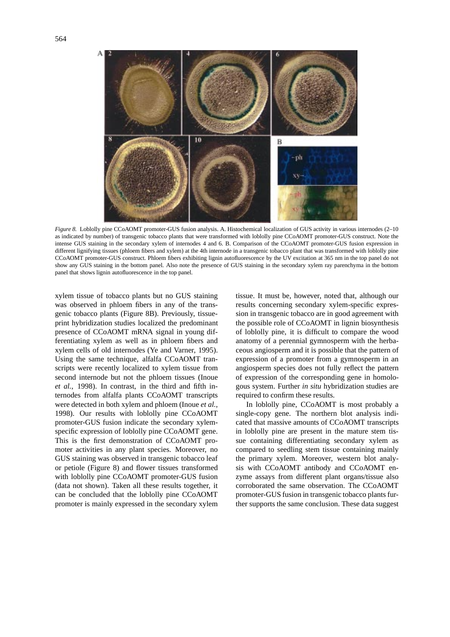

*Figure 8.* Loblolly pine CCoAOMT promoter-GUS fusion analysis. A. Histochemical localization of GUS activity in various internodes (2–10 as indicated by number) of transgenic tobacco plants that were transformed with loblolly pine CCoAOMT promoter-GUS construct. Note the intense GUS staining in the secondary xylem of internodes 4 and 6. B. Comparison of the CCoAOMT promoter-GUS fusion expression in different lignifying tissues (phloem fibers and xylem) at the 4th internode in a transgenic tobacco plant that was transformed with loblolly pine CCoAOMT promoter-GUS construct. Phloem fibers exhibiting lignin autofluorescence by the UV excitation at 365 nm in the top panel do not show any GUS staining in the bottom panel. Also note the presence of GUS staining in the secondary xylem ray parenchyma in the bottom panel that shows lignin autofluorescence in the top panel.

xylem tissue of tobacco plants but no GUS staining was observed in phloem fibers in any of the transgenic tobacco plants (Figure 8B). Previously, tissueprint hybridization studies localized the predominant presence of CCoAOMT mRNA signal in young differentiating xylem as well as in phloem fibers and xylem cells of old internodes (Ye and Varner, 1995). Using the same technique, alfalfa CCoAOMT transcripts were recently localized to xylem tissue from second internode but not the phloem tissues (Inoue *et al.*, 1998). In contrast, in the third and fifth internodes from alfalfa plants CCoAOMT transcripts were detected in both xylem and phloem (Inoue *et al.*, 1998). Our results with loblolly pine CCoAOMT promoter-GUS fusion indicate the secondary xylemspecific expression of loblolly pine CCoAOMT gene. This is the first demonstration of CCoAOMT promoter activities in any plant species. Moreover, no GUS staining was observed in transgenic tobacco leaf or petiole (Figure 8) and flower tissues transformed with loblolly pine CCoAOMT promoter-GUS fusion (data not shown). Taken all these results together, it can be concluded that the loblolly pine CCoAOMT promoter is mainly expressed in the secondary xylem tissue. It must be, however, noted that, although our results concerning secondary xylem-specific expression in transgenic tobacco are in good agreement with the possible role of CCoAOMT in lignin biosynthesis of loblolly pine, it is difficult to compare the wood anatomy of a perennial gymnosperm with the herbaceous angiosperm and it is possible that the pattern of expression of a promoter from a gymnosperm in an angiosperm species does not fully reflect the pattern of expression of the corresponding gene in homologous system. Further *in situ* hybridization studies are required to confirm these results.

In loblolly pine, CCoAOMT is most probably a single-copy gene. The northern blot analysis indicated that massive amounts of CCoAOMT transcripts in loblolly pine are present in the mature stem tissue containing differentiating secondary xylem as compared to seedling stem tissue containing mainly the primary xylem. Moreover, western blot analysis with CCoAOMT antibody and CCoAOMT enzyme assays from different plant organs/tissue also corroborated the same observation. The CCoAOMT promoter-GUS fusion in transgenic tobacco plants further supports the same conclusion. These data suggest